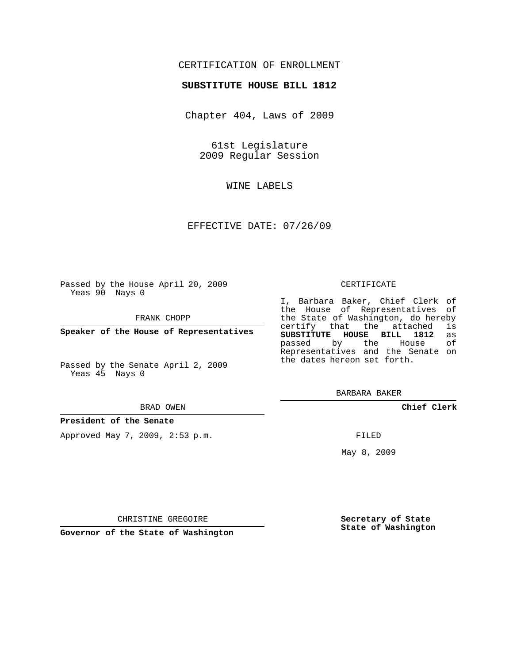## CERTIFICATION OF ENROLLMENT

### **SUBSTITUTE HOUSE BILL 1812**

Chapter 404, Laws of 2009

61st Legislature 2009 Regular Session

WINE LABELS

EFFECTIVE DATE: 07/26/09

Passed by the House April 20, 2009 Yeas 90 Nays 0

FRANK CHOPP

**Speaker of the House of Representatives**

Passed by the Senate April 2, 2009 Yeas 45 Nays 0

#### BRAD OWEN

#### **President of the Senate**

Approved May 7, 2009, 2:53 p.m.

#### CERTIFICATE

I, Barbara Baker, Chief Clerk of the House of Representatives of the State of Washington, do hereby<br>certify that the attached is certify that the attached **SUBSTITUTE HOUSE BILL 1812** as passed by the Representatives and the Senate on the dates hereon set forth.

BARBARA BAKER

**Chief Clerk**

FILED

May 8, 2009

**Secretary of State State of Washington**

CHRISTINE GREGOIRE

**Governor of the State of Washington**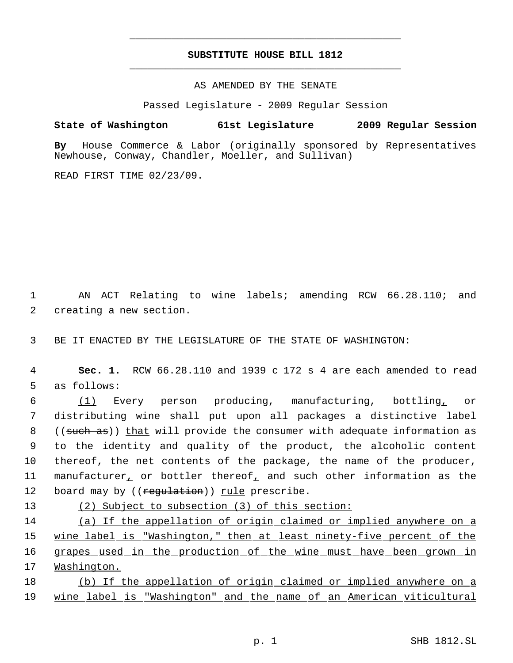# **SUBSTITUTE HOUSE BILL 1812** \_\_\_\_\_\_\_\_\_\_\_\_\_\_\_\_\_\_\_\_\_\_\_\_\_\_\_\_\_\_\_\_\_\_\_\_\_\_\_\_\_\_\_\_\_

\_\_\_\_\_\_\_\_\_\_\_\_\_\_\_\_\_\_\_\_\_\_\_\_\_\_\_\_\_\_\_\_\_\_\_\_\_\_\_\_\_\_\_\_\_

AS AMENDED BY THE SENATE

Passed Legislature - 2009 Regular Session

**State of Washington 61st Legislature 2009 Regular Session**

**By** House Commerce & Labor (originally sponsored by Representatives Newhouse, Conway, Chandler, Moeller, and Sullivan)

READ FIRST TIME 02/23/09.

 1 AN ACT Relating to wine labels; amending RCW 66.28.110; and 2 creating a new section.

3 BE IT ENACTED BY THE LEGISLATURE OF THE STATE OF WASHINGTON:

 4 **Sec. 1.** RCW 66.28.110 and 1939 c 172 s 4 are each amended to read 5 as follows:

 6 (1) Every person producing, manufacturing, bottling, or 7 distributing wine shall put upon all packages a distinctive label 8 ((such as)) that will provide the consumer with adequate information as 9 to the identity and quality of the product, the alcoholic content 10 thereof, the net contents of the package, the name of the producer, 11 manufacturer, or bottler thereof, and such other information as the 12 board may by ((regulation)) rule prescribe.

13 (2) Subject to subsection (3) of this section:

 (a) If the appellation of origin claimed or implied anywhere on a 15 wine label is "Washington," then at least ninety-five percent of the grapes used in the production of the wine must have been grown in Washington.

18 (b) If the appellation of origin claimed or implied anywhere on a 19 wine label is "Washington" and the name of an American viticultural